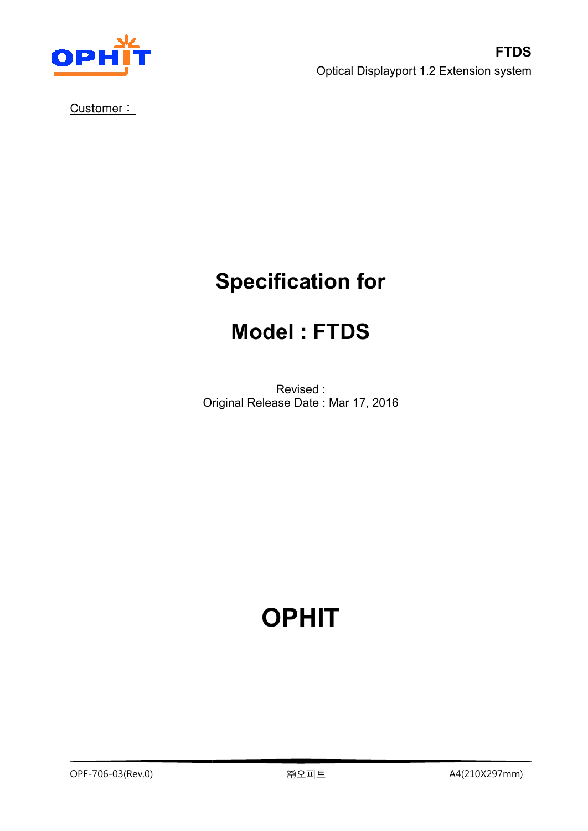

Customer :

# **Specification for**

# **Model : FTDS**

Original Release Date : Mar 17, 2016 Revised :

# **OPHIT**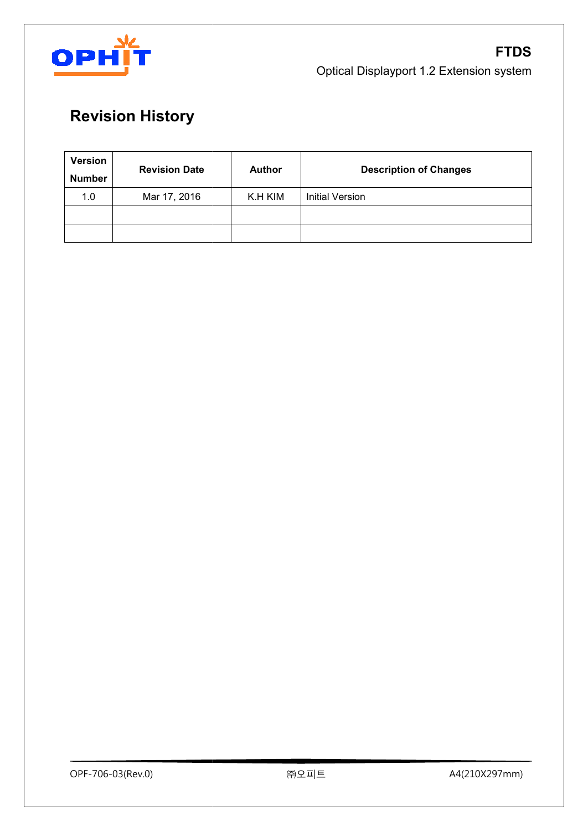

# **Revision History**

| Version<br><b>Number</b> | <b>Revision Date</b> | <b>Author</b> | <b>Description of Changes</b> |
|--------------------------|----------------------|---------------|-------------------------------|
| 1.0                      | Mar 17, 2016         | K.H KIM       | <b>Initial Version</b>        |
|                          |                      |               |                               |
|                          |                      |               |                               |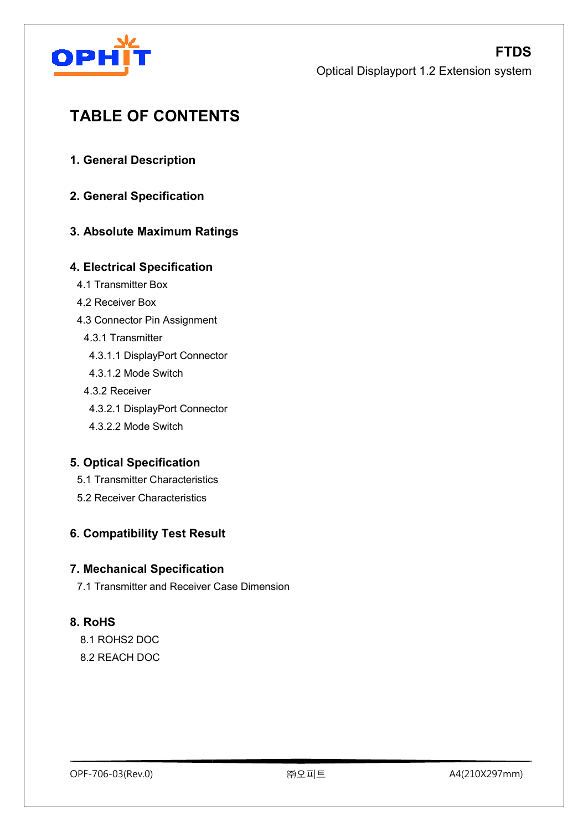

# **TABLE OF CONTENTS ABLE**

- **1. General Description**
- **2. General Specification**

#### **3. Absolute Maximum Ratings atings**

#### **4. Electrical Specification**

- 4.1 Transmitter Box
- 4.2 Receiver Box
- 4.3 Connector Pin Assignment
	- 4.3.1 Transmitter
	- 4.3.1.1 DisplayPort Connector Connector Pin Assignment<br>
	3.1 Transmitter<br>
	.3.1.1 DisplayPort Connect<br>
	.3.1.2 Mode Switch<br>
	3.2 Receiver<br>
	.3.2.1 DisplayPort Connect<br>
	.3.2.2 Mode Switch<br>
	ptical Specification<br>
	Transmitter Characteristics
	- 4.3.1.2 Mode Switch
	- 4.3.2 Receiver
	- 4.3.2.1 DisplayPort Connector
	- 4.3.2.2 Mode Switch

#### **5. Optical Specification**

- 5.1 Transmitter Characteristics
- 5.2 Receiver Characteristics

#### **6. Compatibility Test Result**

#### **7. Mechanical Specification .**

7.1 Transmitter and Receiver Case Dimension

#### **8. RoHS**

 8.1 ROHS2 DOC 8.2 REACH DOC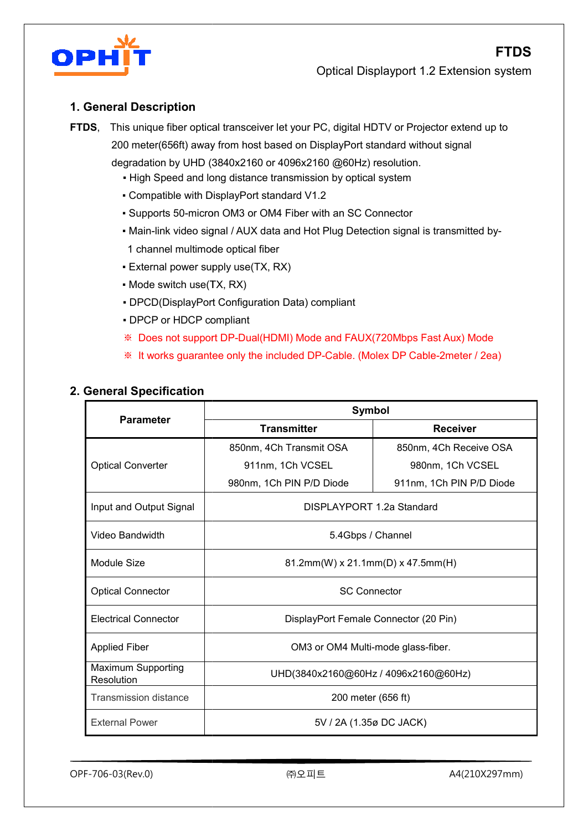



#### **1. General Description**

**FTDS**, This unique fiber optical transceiver let your PC, digital HDTV or Projector extend up to 200 meter(656ft) away from host based on DisplayPort standard without signal

degradation by UHD (3840 3840x2160 or 4096x2160 @60Hz) resolution.

- **.** High Speed and long distance transmission by optical system
- Compatible with DisplayPort standard V1.2
- Supports 50-micron OM3 or OM4 Fiber with an SC Connector
- Main-link video signal / AUX data and Hot Plug Detection signal is transmitted by-1 channel multimode optical fiber
- External power supply use(TX, RX)
- Mode switch use(TX, RX)
- External power supply use(TX, RX)<br>• Mode switch use(TX, RX)<br>• DPCD(DisplayPort Configuration Data)<br>• DPCP or HDCP compliant compliant
- 
- ※ Does not support DP-Dual(HDMI) Mode and FAUX(720Mbps Fast Aux) Mode
- **Example 2 Norms** it works guarantee only the included DP-Cable. (Molex DP Cable-2meter / 2ea)

| <b>Parameter</b>                 | <b>Symbol</b>                         |                          |  |  |  |  |  |
|----------------------------------|---------------------------------------|--------------------------|--|--|--|--|--|
|                                  | <b>Transmitter</b>                    | <b>Receiver</b>          |  |  |  |  |  |
|                                  | 850nm, 4Ch Transmit OSA               | 850nm, 4Ch Receive OSA   |  |  |  |  |  |
| <b>Optical Converter</b>         | 911nm, 1Ch VCSEL                      | 980nm, 1Ch VCSEL         |  |  |  |  |  |
|                                  | 980nm, 1Ch PIN P/D Diode              | 911nm, 1Ch PIN P/D Diode |  |  |  |  |  |
| Input and Output Signal          | DISPLAYPORT 1.2a Standard             |                          |  |  |  |  |  |
| Video Bandwidth                  | 5.4Gbps / Channel                     |                          |  |  |  |  |  |
| Module Size                      | 81.2mm(W) x 21.1mm(D) x 47.5mm(H)     |                          |  |  |  |  |  |
| <b>Optical Connector</b>         | <b>SC Connector</b>                   |                          |  |  |  |  |  |
| <b>Electrical Connector</b>      | DisplayPort Female Connector (20 Pin) |                          |  |  |  |  |  |
| <b>Applied Fiber</b>             | OM3 or OM4 Multi-mode glass-fiber.    |                          |  |  |  |  |  |
| Maximum Supporting<br>Resolution | UHD(3840x2160@60Hz / 4096x2160@60Hz)  |                          |  |  |  |  |  |
| <b>Transmission distance</b>     | 200 meter (656 ft)                    |                          |  |  |  |  |  |
| <b>External Power</b>            | 5V / 2A (1.35ø DC JACK)               |                          |  |  |  |  |  |

#### **2. General Specification**

OPF-706-03(Rev.0)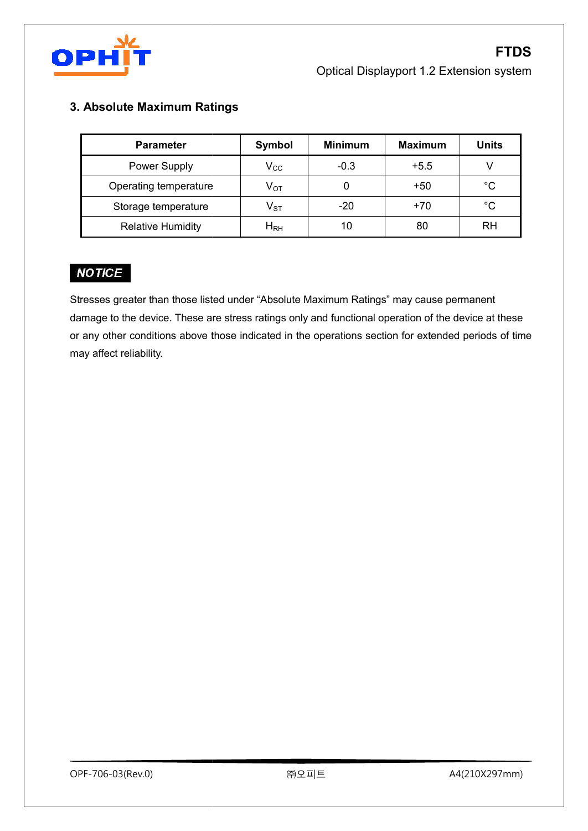

#### **3. Absolute Maximum Ratings atings**

| <b>Parameter</b>         | <b>Symbol</b>              | <b>Minimum</b> | <b>Maximum</b> | <b>Units</b> |  |
|--------------------------|----------------------------|----------------|----------------|--------------|--|
| Power Supply             | $V_{\rm CC}$               | $-0.3$         | $+5.5$         | $\vee$       |  |
| Operating temperature    | $V_{OT}$                   | 0              | $+50$          | $^{\circ}$ C |  |
| Storage temperature      | $\mathsf{V}_{\texttt{ST}}$ | $-20$          | $+70$          | $^{\circ}$ C |  |
| <b>Relative Humidity</b> | $H_{\rm RH}$               | 10             | 80             | <b>RH</b>    |  |

Stresses greater than those listed under "Absolute Maximum Ratings" may cause permanent damage to the device. These are stress ratings only and functional operation of the device at these  $\qquad \qquad \mid$ or any other conditions above those indicated in the operations section for extended periods of time may affect reliability.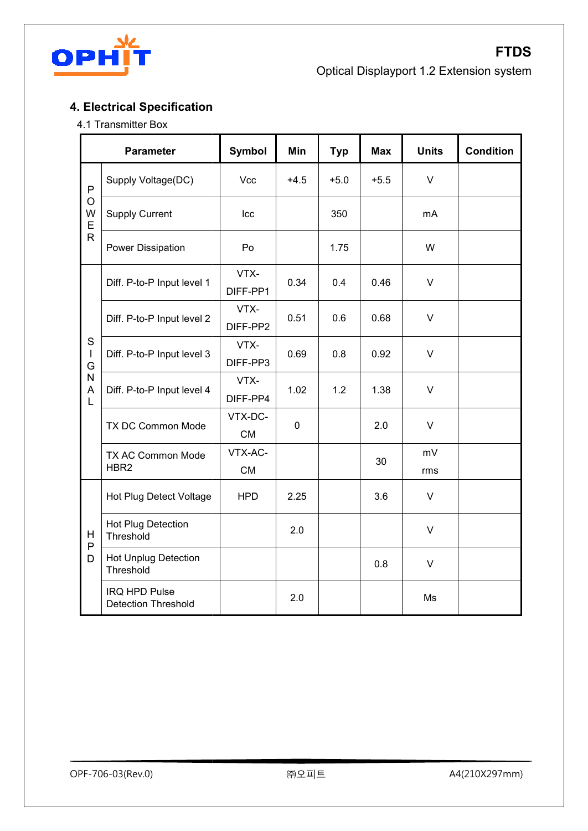

## **4. Electrical Specification**

#### 4.1 Transmitter Box

|                                                                                                     | <b>Parameter</b>                                   | <b>Symbol</b>        | Min         | <b>Typ</b> | <b>Max</b> | <b>Units</b> | <b>Condition</b> |
|-----------------------------------------------------------------------------------------------------|----------------------------------------------------|----------------------|-------------|------------|------------|--------------|------------------|
| P<br>O<br>W<br>E<br>$\overline{\mathsf{R}}$<br>S<br>$\mathbf{I}$<br>G<br>N<br>Α<br>L<br>Η<br>P<br>D | Supply Voltage(DC)                                 | Vcc                  | $+4.5$      | $+5.0$     | $+5.5$     | $\vee$       |                  |
|                                                                                                     | <b>Supply Current</b>                              | Icc                  |             | 350        |            | mA           |                  |
|                                                                                                     | Power Dissipation                                  | Po                   |             | 1.75       |            | W            |                  |
|                                                                                                     | Diff. P-to-P Input level 1                         | VTX-<br>DIFF-PP1     | 0.34        | 0.4        | 0.46       | $\vee$       |                  |
|                                                                                                     | Diff. P-to-P Input level 2                         | VTX-<br>DIFF-PP2     | 0.51        | 0.6        | 0.68       | $\vee$       |                  |
|                                                                                                     | Diff. P-to-P Input level 3                         | VTX-<br>DIFF-PP3     | 0.69        | 0.8        | 0.92       | $\vee$       |                  |
|                                                                                                     | Diff. P-to-P Input level 4                         | VTX-<br>DIFF-PP4     | 1.02        | 1.2        | 1.38       | $\vee$       |                  |
|                                                                                                     | TX DC Common Mode                                  | VTX-DC-<br><b>CM</b> | $\mathbf 0$ |            | 2.0        | $\vee$       |                  |
|                                                                                                     | TX AC Common Mode<br>HBR <sub>2</sub>              | VTX-AC-<br><b>CM</b> |             |            | 30         | mV<br>rms    |                  |
|                                                                                                     | Hot Plug Detect Voltage                            | <b>HPD</b>           | 2.25        |            | 3.6        | $\vee$       |                  |
|                                                                                                     | Hot Plug Detection<br>Threshold                    |                      | 2.0         |            |            | $\vee$       |                  |
|                                                                                                     | <b>Hot Unplug Detection</b><br>Threshold           |                      |             |            | 0.8        | $\vee$       |                  |
|                                                                                                     | <b>IRQ HPD Pulse</b><br><b>Detection Threshold</b> |                      | 2.0         |            |            | Ms           |                  |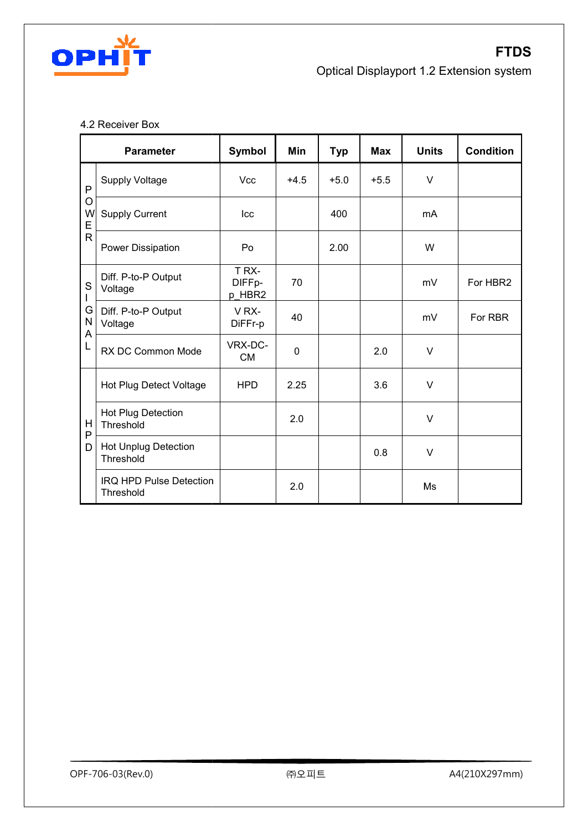

#### 4.2 Receiver Box

|                       | <b>Parameter</b>                            | Symbol                    | Min         | <b>Typ</b> | <b>Max</b> | <b>Units</b> | <b>Condition</b> |
|-----------------------|---------------------------------------------|---------------------------|-------------|------------|------------|--------------|------------------|
| P<br>O<br>W<br>E<br>R | <b>Supply Voltage</b>                       | <b>Vcc</b>                | $+4.5$      | $+5.0$     | $+5.5$     | $\vee$       |                  |
|                       | <b>Supply Current</b>                       | Icc                       |             | 400        |            | mA           |                  |
|                       | <b>Power Dissipation</b>                    | Po                        |             | 2.00       |            | W            |                  |
| ${\mathsf S}$         | Diff. P-to-P Output<br>Voltage              | T RX-<br>DIFFp-<br>p_HBR2 | 70          |            |            | mV           | For HBR2         |
| G<br>N<br>A           | Diff. P-to-P Output<br>Voltage              | VRX-<br>DiFFr-p           | 40          |            |            | mV           | For RBR          |
| L                     | RX DC Common Mode                           | VRX-DC-<br><b>CM</b>      | $\mathbf 0$ |            | 2.0        | $\vee$       |                  |
|                       | <b>Hot Plug Detect Voltage</b>              | <b>HPD</b>                | 2.25        |            | 3.6        | $\vee$       |                  |
| H<br>P                | <b>Hot Plug Detection</b><br>Threshold      |                           | 2.0         |            |            | V            |                  |
| D                     | <b>Hot Unplug Detection</b><br>Threshold    |                           |             |            | 0.8        | V            |                  |
|                       | <b>IRQ HPD Pulse Detection</b><br>Threshold |                           | 2.0         |            |            | Ms           |                  |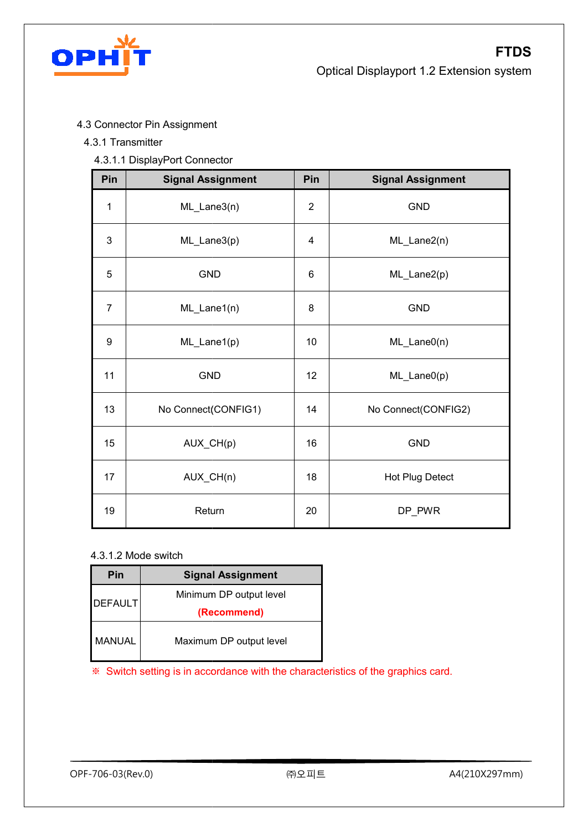

- 4.3 Connector Pin Assignment Connector
- 4.3.1 Transmitter
	- 4.3.1.1 DisplayPort Connector

| Pin            | <b>Signal Assignment</b> | Pin            | <b>Signal Assignment</b> |
|----------------|--------------------------|----------------|--------------------------|
| $\mathbf 1$    | ML_Lane3(n)              | $\overline{2}$ | <b>GND</b>               |
| 3              | ML_Lane3(p)              | 4              | ML_Lane2(n)              |
| 5              | <b>GND</b>               | 6              | ML_Lane2(p)              |
| $\overline{7}$ | ML_Lane1(n)              | 8              | <b>GND</b>               |
| 9              | $ML\_Lane1(p)$           | 10             | $ML\_LaneO(n)$           |
| 11             | <b>GND</b>               | 12             | $ML\_LaneO(p)$           |
| 13             | No Connect(CONFIG1)      | 14             | No Connect(CONFIG2)      |
| 15             | AUX_CH(p)                | 16             | <b>GND</b>               |
| 17             | AUX_CH(n)                | 18             | Hot Plug Detect          |
| 19             | Return                   | 20             | DP_PWR                   |

#### 4.3.1.2 Mode switch

| Pin            | <b>Signal Assignment</b> |
|----------------|--------------------------|
| <b>DEFAULT</b> | Minimum DP output level  |
|                | (Recommend)              |
| MANUAL         | Maximum DP output level  |

※ Switch setting is in accordance with the characteristics of the the graphics card card.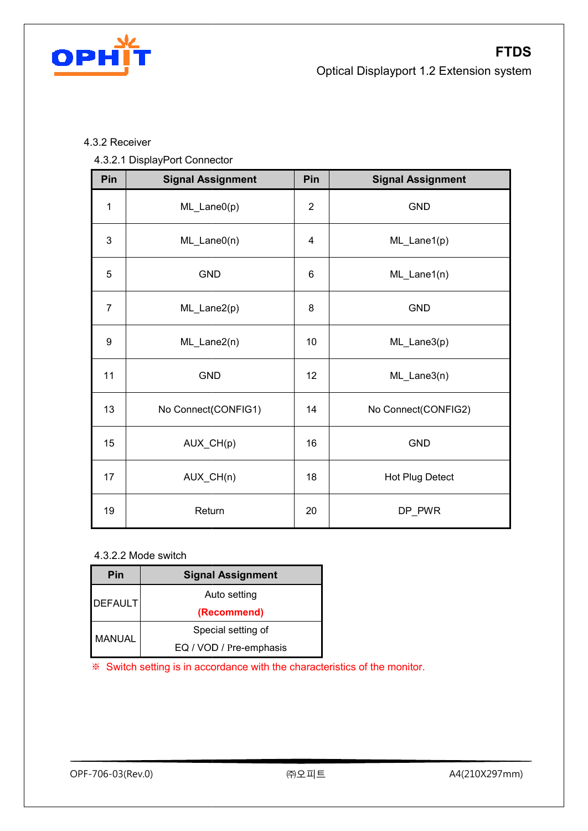

#### 4.3.2 Receiver

#### 4.3.2.1 DisplayPort Connector

| Pin            | <b>Signal Assignment</b> | Pin            | <b>Signal Assignment</b> |
|----------------|--------------------------|----------------|--------------------------|
| $\mathbf 1$    | ML_Lane0(p)              | $\overline{2}$ | GND                      |
| 3              | $ML\_LaneO(n)$           | 4              | ML_Lane1(p)              |
| 5              | <b>GND</b>               | 6              | ML_Lane1(n)              |
| $\overline{7}$ | ML_Lane2(p)              | 8              | <b>GND</b>               |
| 9              | ML_Lane2(n)              | 10             | ML_Lane3(p)              |
| 11             | <b>GND</b>               | 12             | ML_Lane3(n)              |
| 13             | No Connect(CONFIG1)      | 14             | No Connect(CONFIG2)      |
| 15             | AUX_CH(p)                | 16             | <b>GND</b>               |
| 17             | AUX_CH(n)                | 18             | Hot Plug Detect          |
| 19             | Return                   | 20             | DP_PWR                   |

#### 4.3.2.2 Mode switch

| Pin            | <b>Signal Assignment</b> |
|----------------|--------------------------|
| <b>DEFAULT</b> | Auto setting             |
|                | (Recommend)              |
|                | Special setting of       |
| MANUAL         | EQ / VOD / Pre-emphasis  |

※ Switch setting is in accordance with the characteristics of the the monitor.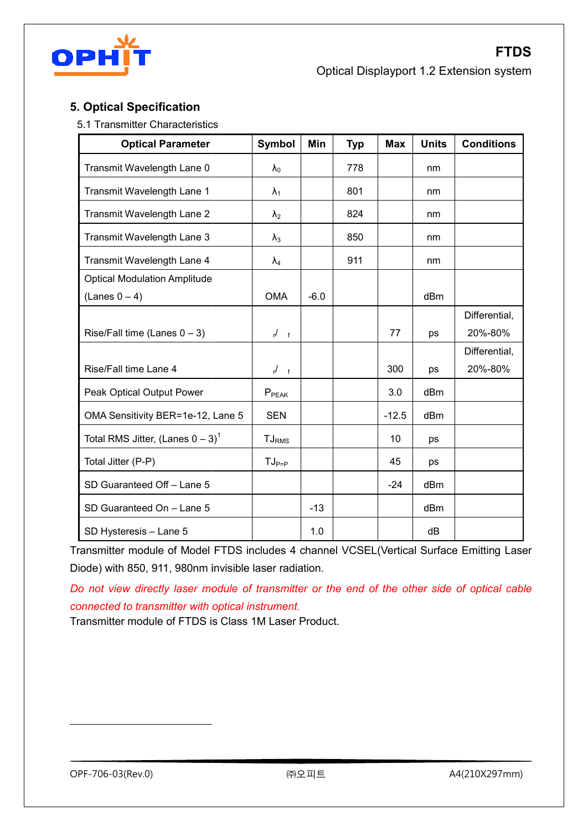

#### **5. Optical Specification**

5.1 Transmitter Characteristics Transmitter Characteristics

| <b>Optical Parameter</b>                        | <b>Symbol</b>   | Min    | <b>Typ</b> | <b>Max</b> | <b>Units</b>    | <b>Conditions</b> |
|-------------------------------------------------|-----------------|--------|------------|------------|-----------------|-------------------|
| Transmit Wavelength Lane 0                      | $\lambda_0$     |        | 778        |            | nm              |                   |
| Transmit Wavelength Lane 1                      | $\lambda_1$     |        | 801        |            | nm              |                   |
| Transmit Wavelength Lane 2                      | $\lambda_2$     |        | 824        |            | nm              |                   |
| Transmit Wavelength Lane 3                      | $\lambda_3$     |        | 850        |            | nm              |                   |
| Transmit Wavelength Lane 4                      | $\lambda_4$     |        | 911        |            | nm              |                   |
| <b>Optical Modulation Amplitude</b>             |                 |        |            |            |                 |                   |
| $(Lanes 0 - 4)$                                 | <b>OMA</b>      | $-6.0$ |            |            | dBm             |                   |
|                                                 |                 |        |            |            |                 | Differential,     |
| Rise/Fall time (Lanes $0 - 3$ )                 | $r^{\prime}$ f  |        |            | 77         | ps              | 20%-80%           |
|                                                 |                 |        |            |            |                 | Differential,     |
| Rise/Fall time Lane 4                           | $\frac{1}{r}$ f |        |            | 300        | ps              | 20%-80%           |
| Peak Optical Output Power                       | $P_{PEAK}$      |        |            | 3.0        | dBm             |                   |
| OMA Sensitivity BER=1e-12, Lane 5               | <b>SEN</b>      |        |            | $-12.5$    | dBm             |                   |
| Total RMS Jitter, (Lanes $0 - 3$ ) <sup>1</sup> | $TJ_{RMS}$      |        |            | 10         | ps              |                   |
| Total Jitter (P-P)                              | $TJ_{P=P}$      |        |            | 45         | ps              |                   |
| SD Guaranteed Off - Lane 5                      |                 |        |            | $-24$      | dB <sub>m</sub> |                   |
| SD Guaranteed On - Lane 5                       |                 | $-13$  |            |            | dBm             |                   |
| SD Hysteresis - Lane 5                          |                 | 1.0    |            |            | dB              |                   |

Transmitter module of Model FTDS includes 4 channel VCSEL(Vertical Surface Emitting Laser<br>Diode) with 850, 911, 980nm invisible laser radiation. Diode) with 850, 911, 980nm invisible laser radiation.

*Do not view directly laser module of transmitter or the end of the other side of optical cable directly module of the optical optical instrument*. *connected to transmitter with optical instrument*

Transmitter module of FTDS is Class 1M Laser Product.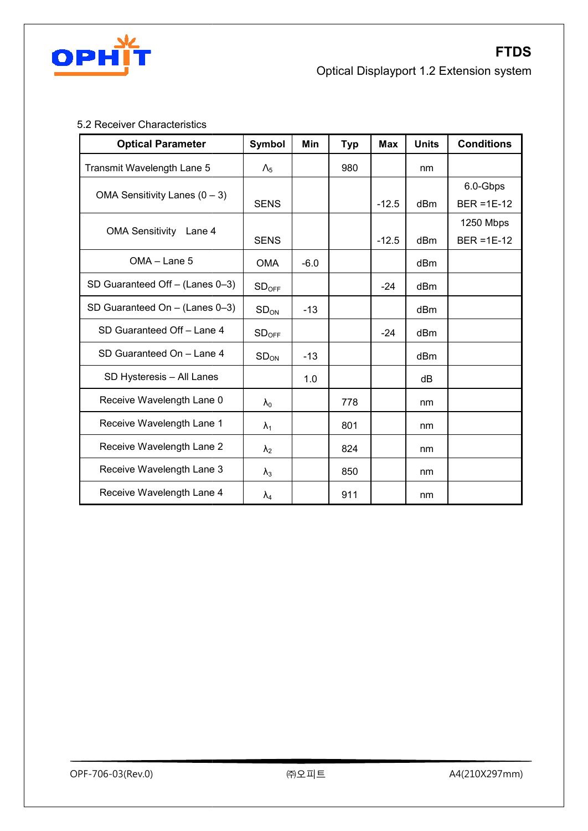

#### 5.2 Receiver Characteristics

| <b>Optical Parameter</b>         | <b>Symbol</b>     | Min    | <b>Typ</b> | <b>Max</b> | <b>Units</b>    | <b>Conditions</b>          |
|----------------------------------|-------------------|--------|------------|------------|-----------------|----------------------------|
| Transmit Wavelength Lane 5       | $\Lambda_{5}$     |        | 980        |            | nm              |                            |
| OMA Sensitivity Lanes $(0 - 3)$  | <b>SENS</b>       |        |            | $-12.5$    | dB <sub>m</sub> | 6.0-Gbps<br>$BER = 1E-12$  |
| <b>OMA Sensitivity</b><br>Lane 4 | <b>SENS</b>       |        |            | $-12.5$    | dB <sub>m</sub> | 1250 Mbps<br>$BER = 1E-12$ |
| OMA - Lane 5                     | <b>OMA</b>        | $-6.0$ |            |            | dBm             |                            |
| SD Guaranteed Off - (Lanes 0-3)  | SD <sub>OFF</sub> |        |            | $-24$      | dB <sub>m</sub> |                            |
| SD Guaranteed On $-$ (Lanes 0-3) | SD <sub>ON</sub>  | $-13$  |            |            | dBm             |                            |
| SD Guaranteed Off - Lane 4       | SD <sub>OFF</sub> |        |            | $-24$      | dB <sub>m</sub> |                            |
| SD Guaranteed On - Lane 4        | SD <sub>ON</sub>  | $-13$  |            |            | dBm             |                            |
| SD Hysteresis - All Lanes        |                   | 1.0    |            |            | dB              |                            |
| Receive Wavelength Lane 0        | $\lambda_0$       |        | 778        |            | nm              |                            |
| Receive Wavelength Lane 1        | $\lambda_1$       |        | 801        |            | nm              |                            |
| Receive Wavelength Lane 2        | $\lambda_2$       |        | 824        |            | nm              |                            |
| Receive Wavelength Lane 3        | $\lambda_3$       |        | 850        |            | nm              |                            |
| Receive Wavelength Lane 4        | $\lambda_4$       |        | 911        |            | nm              |                            |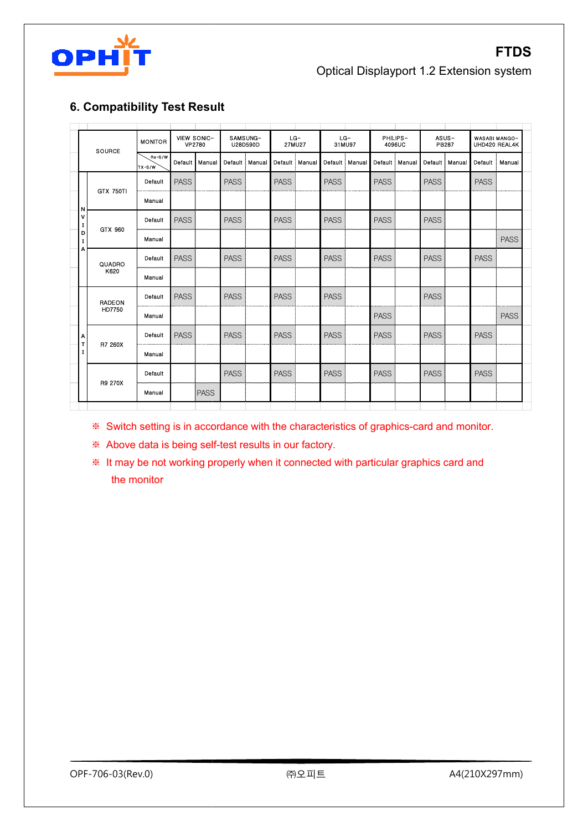

#### **6. Compatibility Test Result Compatibility Test**

|                                  | <b>SOURCE</b>                                                                                                                                              | <b>MONITOR</b>                                                                         |             | VIEW SONIC-<br>VP2780 |             | SAMSUNG-<br>U28D590D | $LG-$<br>27MU27 |        | $LG-$<br>31MU97 |        | PHILIPS-         | 4096UC |             | ASUS-<br>PB287 |             | WASABI MANGO-<br>UHD420 REAL4K |
|----------------------------------|------------------------------------------------------------------------------------------------------------------------------------------------------------|----------------------------------------------------------------------------------------|-------------|-----------------------|-------------|----------------------|-----------------|--------|-----------------|--------|------------------|--------|-------------|----------------|-------------|--------------------------------|
|                                  |                                                                                                                                                            | $Rx-S/W$<br>$TX-S/W$                                                                   | Default     | Manual                | Default     | Manual               | Default         | Manual | Default         | Manual | Default   Manual |        | Default     | Manual         | Default     | Manual                         |
|                                  | <b>GTX 750TI</b>                                                                                                                                           | Default                                                                                | <b>PASS</b> |                       | <b>PASS</b> |                      | <b>PASS</b>     |        | <b>PASS</b>     |        | <b>PASS</b>      |        | <b>PASS</b> |                | <b>PASS</b> |                                |
| Ν<br>٧<br>I<br>D<br>$\bf I$<br>Α |                                                                                                                                                            | Manual                                                                                 |             |                       |             |                      |                 |        |                 |        |                  |        |             |                |             |                                |
|                                  | GTX 960                                                                                                                                                    | Default                                                                                | <b>PASS</b> |                       | <b>PASS</b> |                      | <b>PASS</b>     |        | <b>PASS</b>     |        | <b>PASS</b>      |        | <b>PASS</b> |                |             |                                |
|                                  |                                                                                                                                                            | Manual                                                                                 |             |                       |             |                      |                 |        |                 |        |                  |        |             |                |             | <b>PASS</b>                    |
|                                  | QUADRO                                                                                                                                                     | Default                                                                                | <b>PASS</b> |                       | <b>PASS</b> |                      | <b>PASS</b>     |        | <b>PASS</b>     |        | <b>PASS</b>      |        | <b>PASS</b> |                | <b>PASS</b> |                                |
|                                  | K620                                                                                                                                                       | Manual                                                                                 |             |                       |             |                      |                 |        |                 |        |                  |        |             |                |             |                                |
|                                  | <b>RADEON</b>                                                                                                                                              | Default                                                                                | <b>PASS</b> |                       | <b>PASS</b> |                      | <b>PASS</b>     |        | <b>PASS</b>     |        |                  |        | <b>PASS</b> |                |             |                                |
|                                  | HD7750                                                                                                                                                     | Manual                                                                                 |             |                       |             |                      |                 |        |                 |        | <b>PASS</b>      |        |             |                |             | <b>PASS</b>                    |
| А<br>T                           |                                                                                                                                                            | Default                                                                                | <b>PASS</b> |                       | <b>PASS</b> |                      | <b>PASS</b>     |        | <b>PASS</b>     |        | <b>PASS</b>      |        | <b>PASS</b> |                | <b>PASS</b> |                                |
| I                                | R7 260X                                                                                                                                                    | Manual                                                                                 |             |                       |             |                      |                 |        |                 |        |                  |        |             |                |             |                                |
|                                  |                                                                                                                                                            | Default                                                                                |             |                       | <b>PASS</b> |                      | <b>PASS</b>     |        | <b>PASS</b>     |        | <b>PASS</b>      |        | <b>PASS</b> |                | <b>PASS</b> |                                |
|                                  | R9 270X                                                                                                                                                    | Manual                                                                                 |             | <b>PASS</b>           |             |                      |                 |        |                 |        |                  |        |             |                |             |                                |
|                                  | ☀<br>Above data is being self-test results in our factory.<br>☀<br>It may be not working properly when it connected with particular graphics card and<br>☀ | Switch setting is in accordance with the characteristics of graphics-card and monitor. |             |                       |             |                      |                 |        |                 |        |                  |        |             |                |             |                                |

※ It may be not working properly when it connected with particular graphics card and the monitor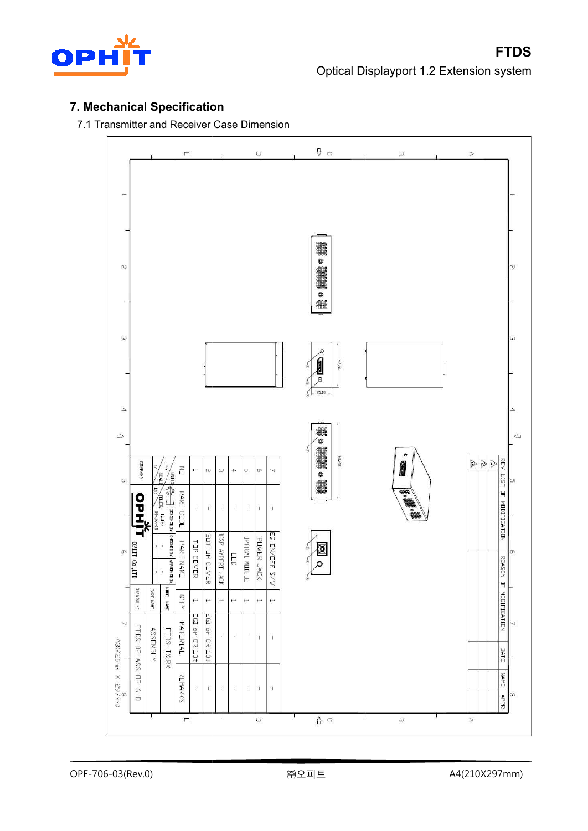

#### **7. Mechanical Specification**

7.1 Transmitter and Receiver Case Dimension

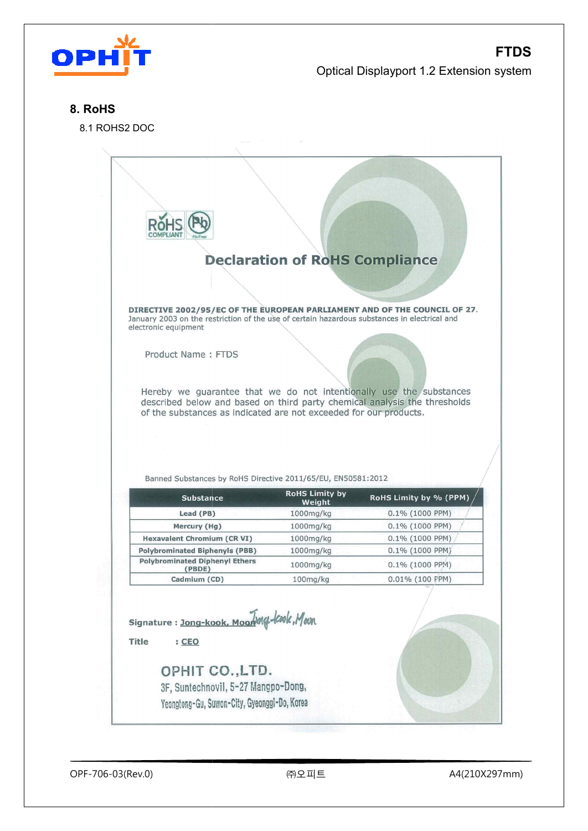

#### **8. RoHS**

8.1 ROHS2 DOC